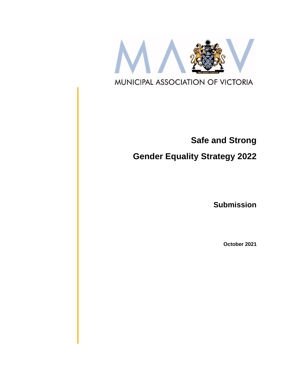

# **Safe and Strong**

# **Gender Equality Strategy 2022**

**Submission**

**October 2021**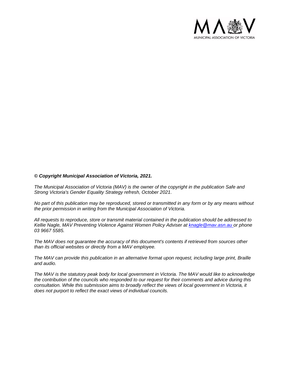

#### *© Copyright Municipal Association of Victoria, 2021.*

*The Municipal Association of Victoria (MAV) is the owner of the copyright in the publication Safe and Strong Victoria's Gender Equality Strategy refresh, October 2021.* 

*No part of this publication may be reproduced, stored or transmitted in any form or by any means without the prior permission in writing from the Municipal Association of Victoria.* 

*All requests to reproduce, store or transmit material contained in the publication should be addressed to Kellie Nagle, MAV Preventing Violence Against Women Policy Adviser at [knagle@mav.asn.au](mailto:knagle@mav.asn.au) or phone 03 9667 5585.*

*The MAV does not guarantee the accuracy of this document's contents if retrieved from sources other than its official websites or directly from a MAV employee.*

*The MAV can provide this publication in an alternative format upon request, including large print, Braille and audio.* 

*The MAV is the statutory peak body for local government in Victoria. The MAV would like to acknowledge the contribution of the councils who responded to our request for their comments and advice during this consultation. While this submission aims to broadly reflect the views of local government in Victoria, it does not purport to reflect the exact views of individual councils.*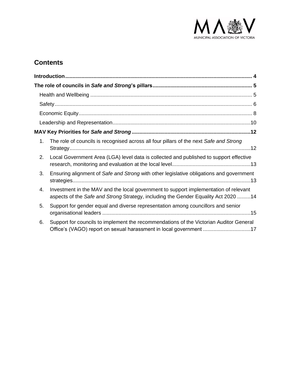

# **Contents**

| 1. | The role of councils is recognised across all four pillars of the next Safe and Strong                                                                                     |
|----|----------------------------------------------------------------------------------------------------------------------------------------------------------------------------|
| 2. | Local Government Area (LGA) level data is collected and published to support effective                                                                                     |
| 3. | Ensuring alignment of Safe and Strong with other legislative obligations and government                                                                                    |
| 4. | Investment in the MAV and the local government to support implementation of relevant<br>aspects of the Safe and Strong Strategy, including the Gender Equality Act 2020 14 |
| 5. | Support for gender equal and diverse representation among councillors and senior                                                                                           |
| 6. | Support for councils to implement the recommendations of the Victorian Auditor General<br>Office's (VAGO) report on sexual harassment in local government 17               |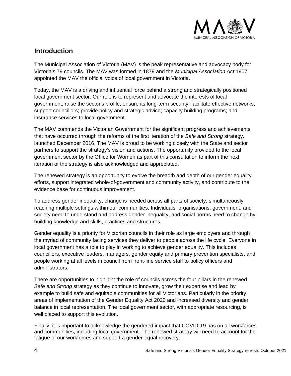

# <span id="page-3-0"></span>**Introduction**

The Municipal Association of Victoria (MAV) is the peak representative and advocacy body for Victoria's 79 councils. The MAV was formed in 1879 and the *Municipal Association Act* 1907 appointed the MAV the official voice of local government in Victoria.

Today, the MAV is a driving and influential force behind a strong and strategically positioned local government sector. Our role is to represent and advocate the interests of local government; raise the sector's profile; ensure its long-term security; facilitate effective networks; support councillors; provide policy and strategic advice; capacity building programs; and insurance services to local government.

The MAV commends the Victorian Government for the significant progress and achievements that have occurred through the reforms of the first iteration of the *Safe and Strong* strategy*,* launched December 2016. The MAV is proud to be working closely with the State and sector partners to support the strategy's vision and actions. The opportunity provided to the local government sector by the Office for Women as part of this consultation to inform the next iteration of the strategy is also acknowledged and appreciated.

The renewed strategy is an opportunity to evolve the breadth and depth of our gender equality efforts, support integrated whole-of-government and community activity, and contribute to the evidence base for continuous improvement.

To address gender inequality, change is needed across all parts of society, simultaneously reaching multiple settings within our communities. Individuals, organisations, government, and society need to understand and address gender inequality, and social norms need to change by building knowledge and skills, practices and structures.

Gender equality is a priority for Victorian councils in their role as large employers and through the myriad of community facing services they deliver to people across the life cycle. Everyone in local government has a role to play in working to achieve gender equality. This includes councillors, executive leaders, managers, gender equity and primary prevention specialists, and people working at all levels in council from front-line service staff to policy officers and administrators.

There are opportunities to highlight the role of councils across the four pillars in the renewed *Safe and Strong* strategy as they continue to innovate, grow their expertise and lead by example to build safe and equitable communities for all Victorians. Particularly in the priority areas of implementation of the Gender Equality Act 2020 and increased diversity and gender balance in local representation. The local government sector, with appropriate resourcing, is well placed to support this evolution.

Finally, it is important to acknowledge the gendered impact that COVID-19 has on all workforces and communities, including local government. The renewed strategy will need to account for the fatigue of our workforces and support a gender-equal recovery.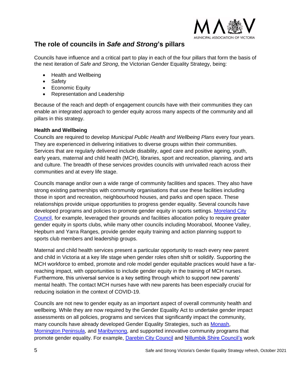

# <span id="page-4-0"></span>**The role of councils in** *Safe and Strong***'s pillars**

Councils have influence and a critical part to play in each of the four pillars that form the basis of the next iteration of *Safe and Strong*, the Victorian Gender Equality Strategy, being:

- Health and Wellbeing
- Safety
- Economic Equity
- Representation and Leadership

Because of the reach and depth of engagement councils have with their communities they can enable an integrated approach to gender equity across many aspects of the community and all pillars in this strategy.

#### <span id="page-4-1"></span>**Health and Wellbeing**

Councils are required to develop *Municipal Public Health and Wellbeing Plans* every four years. They are experienced in delivering initiatives to diverse groups within their communities. Services that are regularly delivered include disability, aged care and positive ageing, youth, early years, maternal and child health (MCH), libraries, sport and recreation, planning, and arts and culture. The breadth of these services provides councils with unrivalled reach across their communities and at every life stage.

Councils manage and/or own a wide range of community facilities and spaces. They also have strong existing partnerships with community organisations that use these facilities including those in sport and recreation, neighbourhood houses, and parks and open space. These relationships provide unique opportunities to progress gender equality. Several councils have developed programs and policies to promote gender equity in sports settings. [Moreland City](https://www.activemoreland.com.au/sport/resources-for-sport-clubs/active-womens-and-girls/moreland-active-women-and-girls-strategy/)  [Council,](https://www.activemoreland.com.au/sport/resources-for-sport-clubs/active-womens-and-girls/moreland-active-women-and-girls-strategy/) for example, leveraged their grounds and facilities allocation policy to require greater gender equity in sports clubs, while many other councils including Moorabool, Moonee Valley, Hepburn and Yarra Ranges, provide gender equity training and action planning support to sports club members and leadership groups.

Maternal and child health services present a particular opportunity to reach every new parent and child in Victoria at a key life stage when gender roles often shift or solidify. Supporting the MCH workforce to embed, promote and role model gender equitable practices would have a farreaching impact, with opportunities to include gender equity in the training of MCH nurses. Furthermore, this universal service is a key setting through which to support new parents' mental health. The contact MCH nurses have with new parents has been especially crucial for reducing isolation in the context of COVID-19.

Councils are not new to gender equity as an important aspect of overall community health and wellbeing. While they are now required by the Gender Equality Act to undertake gender impact assessments on all policies, programs and services that significantly impact the community, many councils have already developed Gender Equality Strategies, such as [Monash,](https://www.monash.vic.gov.au/About-Us/Council/Publications/Plans-and-Strategies/Gender-Equity-Strategy) [Mornington Peninsula,](https://www.mornpen.vic.gov.au/About-Us/Strategies-Plans-Policies/Strategy-Plan-Listing/Gender-Equality-Strategy) and [Maribyrnong,](https://www.maribyrnong.vic.gov.au/Residents/Staying-safe-and-healthy/Your-health-and-wellbeing/Promoting-gender-equity) and supported innovative community programs that promote gender equality. For example, [Darebin City Council](https://www.darebin.vic.gov.au/Services-and-business/Multicultural-services-and-diversity/Our-commitment-to-equality/Gender-equity-in-the-early-years) and [Nillumbik Shire Council's](https://www.nillumbik.vic.gov.au/Community/Gender-equity/Gender-Equity-in-the-Early-Years) work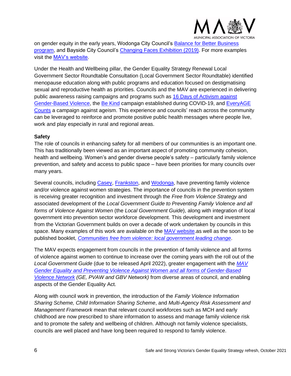

on gender equity in the early years, Wodonga City Council's [Balance for Better Business](https://d2bb010tdzqaq7.cloudfront.net/wp-content/uploads/sites/2/2019/05/01005825/Balance-for-Better-Business_A5-Brochure.pdf)  [program,](https://d2bb010tdzqaq7.cloudfront.net/wp-content/uploads/sites/2/2019/05/01005825/Balance-for-Better-Business_A5-Brochure.pdf) and Bayside City Council's [Changing Faces Exhibition](https://www.bayside.vic.gov.au/changing-faces-exhibition) (2019). For more examples visit the [MAV's website.](https://www.mav.asn.au/what-we-do/policy-advocacy/social-community/gender-equality)

Under the Health and Wellbeing pillar, the Gender Equality Strategy Renewal Local Government Sector Roundtable Consultation (Local Government Sector Roundtable) identified menopause education along with public programs and education focused on destigmatising sexual and reproductive health as priorities. Councils and the MAV are experienced in delivering public awareness raising campaigns and programs such as [16 Days of Activism against](https://www.mav.asn.au/__data/assets/pdf_file/0007/27475/16-Days-Initiative-2020-FINAL_Summary-Report-1-page-spread.pdf)  [Gender-Based Violence,](https://www.mav.asn.au/__data/assets/pdf_file/0007/27475/16-Days-Initiative-2020-FINAL_Summary-Report-1-page-spread.pdf) the [Be Kind](https://www.mildura.vic.gov.au/Community/COVID-19-information-and-support/Be-kind) campaign established during COVID-19, and [EveryAGE](https://www.everyagecounts.org.au/)  [Counts](https://www.everyagecounts.org.au/) a campaign against ageism. This experience and councils' reach across the community can be leveraged to reinforce and promote positive public health messages where people live, work and play especially in rural and regional areas.

#### <span id="page-5-0"></span>**Safety**

The role of councils in enhancing safety for all members of our communities is an important one. This has traditionally been viewed as an important aspect of promoting community cohesion, health and wellbeing. Women's and gender diverse people's safety – particularly family violence prevention, and safety and access to public space – have been priorities for many councils over many years.

Several councils, including [Casey,](https://www.casey.vic.gov.au/policies-strategies/family-violence-prevention-strategy) [Frankston,](https://www.frankston.vic.gov.au/Our-Community/Health-and-Wellbeing/Preventing-Violence-Against-Women) and [Wodonga,](https://www.wodonga.vic.gov.au/Portals/0/Attachments/SEIS_2016_to_2022_web.pdf) have preventing family violence and/or violence against women strategies. The importance of councils in the prevention system is receiving greater recognition and investment through the *Free from Violence Strategy* and associated development of the *Local Government Guide to Preventing Family Violence and all forms of Violence Against Women* (the *Local Government Guide*), along with integration of local government into prevention sector workforce development. This development and investment from the Victorian Government builds on over a decade of work undertaken by councils in this space. Many examples of this work are available on the [MAV website.](http://www.mav.asn.au/genderequality)as well as the soon to be published booklet, *[Communities free from violence: local government leading change](https://www.mav.asn.au/__data/assets/pdf_file/0003/28542/Communities-Free-From-Violence.pdf)*.

The MAV expects engagement from councils in the prevention of family violence and all forms of violence against women to continue to increase over the coming years with the roll out of the *Local Government Guide* (due to be released April 2022), greater engagement with the *[MAV](https://www.mav.asn.au/what-we-do/policy-advocacy/social-community/gender-equality/pvaw-network)  Gender Equality and Preventing [Violence Against Women and all forms](https://www.mav.asn.au/what-we-do/policy-advocacy/social-community/gender-equality/pvaw-network) of Gender-Based [Violence Network](https://www.mav.asn.au/what-we-do/policy-advocacy/social-community/gender-equality/pvaw-network) (GE, PVAW and GBV Network)* from diverse areas of council, and enabling aspects of the Gender Equality Act.

Along with council work in prevention, the introduction of the *Family Violence Information Sharing Scheme, Child Information Sharing Scheme*, and *Multi-Agency Risk Assessment and Management Framework* mean that relevant council workforces such as MCH and early childhood are now prescribed to share information to assess and manage family violence risk and to promote the safety and wellbeing of children. Although not family violence specialists, councils are well placed and have long been required to respond to family violence.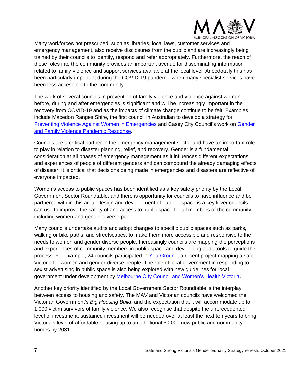

Many workforces not prescribed, such as libraries, local laws, customer services and emergency management, also receive disclosures from the public and are increasingly being trained by their councils to identify, respond and refer appropriately. Furthermore, the reach of these roles into the community provides an important avenue for disseminating information related to family violence and support services available at the local level. Anecdotally this has been particularly important during the COVID-19 pandemic when many specialist services have been less accessible to the community.

The work of several councils in prevention of family violence and violence against women before, during and after emergencies is significant and will be increasingly important in the recovery from COVID-19 and as the impacts of climate change continue to be felt. Examples include Macedon Ranges Shire, the first council in Australian to develop a strategy for [Preventing Violence Against Women in Emergencies](https://www.mrsc.vic.gov.au/About-Council/Our-Council/Strategies-Plans/Prevention-of-Violence-Against-Women-in-Emergencies-Action-Plan) and Casey City Council's work on [Gender](https://www.mav.asn.au/__data/assets/pdf_file/0019/25426/Casey-City-Council-Gender-and-family-violence-pandemic-response.pdf)  [and Family Violence Pandemic Response.](https://www.mav.asn.au/__data/assets/pdf_file/0019/25426/Casey-City-Council-Gender-and-family-violence-pandemic-response.pdf)

Councils are a critical partner in the emergency management sector and have an important role to play in relation to disaster planning, relief, and recovery. Gender is a fundamental consideration at all phases of emergency management as it influences different expectations and experiences of people of different genders and can compound the already damaging effects of disaster. It is critical that decisions being made in emergencies and disasters are reflective of everyone impacted.

Women's access to public spaces has been identified as a key safety priority by the Local Government Sector Roundtable, and there is opportunity for councils to have influence and be partnered with in this area. Design and development of outdoor space is a key lever councils can use to improve the safety of and access to public space for all members of the community including women and gender diverse people.

Many councils undertake audits and adopt changes to specific public spaces such as parks, walking or bike paths, and streetscapes, to make them more accessible and responsive to the needs to women and gender diverse people. Increasingly councils are mapping the perceptions and experiences of community members in public space and developing audit tools to guide this process. For example, 24 councils participated in [YourGround,](https://www.yourground.org/) a recent project mapping a safer Victoria for women and gender-diverse people. The role of local government in responding to sexist advertising in public space is also being explored with new guidelines for local government under development by [Melbourne City Council and Women's Health Victoria](https://shequal.com.au/)*.*

Another key priority identified by the Local Government Sector Roundtable is the interplay between access to housing and safety. The MAV and Victorian councils have welcomed the Victorian Government's *Big Housing Build*, and the expectation that it will accommodate up to 1,000 victim survivors of family violence. We also recognise that despite the unprecedented level of investment, sustained investment will be needed over at least the next ten years to bring Victoria's level of affordable housing up to an additional 60,000 new public and community homes by 2031.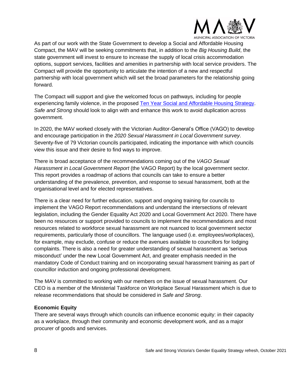

As part of our work with the State Government to develop a Social and Affordable Housing Compact, the MAV will be seeking commitments that, in addition to the *Big Housing Build*, the state government will invest to ensure to increase the supply of local crisis accommodation options, support services, facilities and amenities in partnership with local service providers. The Compact will provide the opportunity to articulate the intention of a new and respectful partnership with local government which will set the broad parameters for the relationship going forward.

The Compact will support and give the welcomed focus on pathways, including for people experiencing family violence, in the proposed [Ten Year Social and Affordable Housing Strategy.](https://engage.vic.gov.au/ten-year-social-and-affordable-housing-strategy-victoria) *Safe and Strong* should look to align with and enhance this work to avoid duplication across government.

In 2020, the MAV worked closely with the Victorian Auditor-General's Office (VAGO) to develop and encourage participation in the *2020 Sexual Harassment in Local Government survey*. Seventy-five of 79 Victorian councils participated, indicating the importance with which councils view this issue and their desire to find ways to improve.

There is broad acceptance of the recommendations coming out of the *VAGO Sexual Harassment in Local Government Report* (the VAGO Report) by the local government sector. This report provides a roadmap of actions that councils can take to ensure a better understanding of the prevalence, prevention, and response to sexual harassment, both at the organisational level and for elected representatives.

There is a clear need for further education, support and ongoing training for councils to implement the VAGO Report recommendations and understand the intersections of relevant legislation, including the Gender Equality Act 2020 and Local Government Act 2020. There have been no resources or support provided to councils to implement the recommendations and most resources related to workforce sexual harassment are not nuanced to local government sector requirements, particularly those of councillors. The language used (i.e. employees/workplaces), for example, may exclude, confuse or reduce the avenues available to councillors for lodging complaints. There is also a need for greater understanding of sexual harassment as 'serious misconduct' under the new Local Government Act, and greater emphasis needed in the mandatory Code of Conduct training and on incorporating sexual harassment training as part of councillor induction and ongoing professional development.

The MAV is committed to working with our members on the issue of sexual harassment. Our CEO is a member of the Ministerial Taskforce on Workplace Sexual Harassment which is due to release recommendations that should be considered in *Safe and Strong*.

#### <span id="page-7-0"></span>**Economic Equity**

There are several ways through which councils can influence economic equity: in their capacity as a workplace, through their community and economic development work, and as a major procurer of goods and services.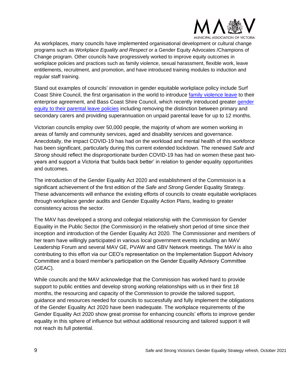

As workplaces, many councils have implemented organisational development or cultural change programs such as *Workplace Equality and Respect* or a Gender Equity Advocates /Champions of Change program. Other councils have progressively worked to improve equity outcomes in workplace policies and practices such as family violence, sexual harassment, flexible work, leave entitlements, recruitment, and promotion, and have introduced training modules to induction and regular staff training.

Stand out examples of councils' innovation in gender equitable workplace policy include Surf Coast Shire Council, the first organisation in the world to introduce [family violence leave](https://www.surfcoast.vic.gov.au/Community/Public-health/Gender-Equality) to their enterprise agreement, and Bass Coast Shire Council, which recently introduced greater gender [equity to their parental leave policies](https://www.basscoast.vic.gov.au/about-council/news-listing/council-sets-gender-equality-landmark) including removing the distinction between primary and secondary carers and providing superannuation on unpaid parental leave for up to 12 months.

Victorian councils employ over 50,000 people, the majority of whom are women working in areas of family and community services, aged and disability services and governance. Anecdotally, the impact COVID-19 has had on the workload and mental health of this workforce has been significant, particularly during this current extended lockdown. The renewed *Safe and Strong* should reflect the disproportionate burden COVID-19 has had on women these past twoyears and support a Victoria that 'builds back better' in relation to gender equality opportunities and outcomes.

The introduction of the Gender Equality Act 2020 and establishment of the Commission is a significant achievement of the first edition of the *Safe and Strong* Gender Equality Strategy. These advancements will enhance the existing efforts of councils to create equitable workplaces through workplace gender audits and Gender Equality Action Plans, leading to greater consistency across the sector.

The MAV has developed a strong and collegial relationship with the Commission for Gender Equality in the Public Sector (the Commission) in the relatively short period of time since their inception and introduction of the Gender Equality Act 2020. The Commissioner and members of her team have willingly participated in various local government events including an MAV Leadership Forum and several MAV GE, PVAW and GBV Network meetings. The MAV is also contributing to this effort via our CEO's representation on the Implementation Support Advisory Committee and a board member's participation on the Gender Equality Advisory Committee (GEAC).

While councils and the MAV acknowledge that the Commission has worked hard to provide support to public entities and develop strong working relationships with us in their first 18 months, the resourcing and capacity of the Commission to provide the tailored support, guidance and resources needed for councils to successfully and fully implement the obligations of the Gender Equality Act 2020 have been inadequate. The workplace requirements of the Gender Equality Act 2020 show great promise for enhancing councils' efforts to improve gender equality in this sphere of influence but without additional resourcing and tailored support it will not reach its full potential.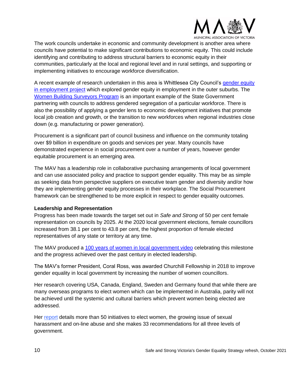

The work councils undertake in economic and community development is another area where councils have potential to make significant contributions to economic equity. This could include identifying and contributing to address structural barriers to economic equity in their communities, particularly at the local and regional level and in rural settings, and supporting or implementing initiatives to encourage workforce diversification.

A recent example of research undertaken in this area is Whittlesea City Council's [gender equity](https://www.sgsep.com.au/projects/whittlesea-gender-equity-in-employment-analysis)  [in employment project](https://www.sgsep.com.au/projects/whittlesea-gender-equity-in-employment-analysis) which explored gender equity in employment in the outer suburbs. The [Women Building Surveyors Program](https://www.localgovernment.vic.gov.au/grants/women-building-surveyors-program) is an important example of the State Government partnering with councils to address gendered segregation of a particular workforce. There is also the possibility of applying a gender lens to economic development initiatives that promote local job creation and growth, or the transition to new workforces when regional industries close down (e.g. manufacturing or power generation).

Procurement is a significant part of council business and influence on the community totaling over \$9 billion in expenditure on goods and services per year. Many councils have demonstrated experience in social procurement over a number of years, however gender equitable procurement is an emerging area.

The MAV has a leadership role in collaborative purchasing arrangements of local government and can use associated policy and practice to support gender equality. This may be as simple as seeking data from perspective suppliers on executive team gender and diversity and/or how they are implementing gender equity processes in their workplace. The Social Procurement framework can be strengthened to be more explicit in respect to gender equality outcomes.

#### <span id="page-9-0"></span>**Leadership and Representation**

Progress has been made towards the target set out in *Safe and Strong* of 50 per cent female representation on councils by 2025. At the 2020 local government elections, female councillors increased from 38.1 per cent to 43.8 per cent, the highest proportion of female elected representatives of any state or territory at any time.

The MAV produced a 100 [years of women in local government video](https://vimeo.com/483857593) celebrating this milestone and the progress achieved over the past century in elected leadership.

The MAV's former President, Coral Ross, was awarded Churchill Fellowship in 2018 to improve gender equality in local government by increasing the number of women councillors.

Her research covering USA, Canada, England, Sweden and Germany found that while there are many overseas programs to elect women which can be implemented in Australia, parity will not be achieved until the systemic and cultural barriers which prevent women being elected are addressed.

Her [report](https://www.churchilltrust.com.au/project/to-improve-gender-equality-in-local-government-by-increasing-the-number-of-elected-women-councillors/) details more than 50 initiatives to elect women, the growing issue of sexual harassment and on-line abuse and she makes 33 recommendations for all three levels of government.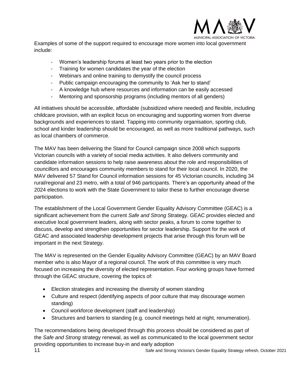

Examples of some of the support required to encourage more women into local government include:

- Women's leadership forums at least two years prior to the election
- Training for women candidates the year of the election
- Webinars and online training to demystify the council process
- Public campaign encouraging the community to 'Ask her to stand'
- A knowledge hub where resources and information can be easily accessed
- Mentoring and sponsorship programs (including mentors of all genders)

All initiatives should be accessible, affordable (subsidized where needed) and flexible, including childcare provision, with an explicit focus on encouraging and supporting women from diverse backgrounds and experiences to stand. Tapping into community organisation, sporting club, school and kinder leadership should be encouraged, as well as more traditional pathways, such as local chambers of commerce.

The MAV has been delivering the Stand for Council campaign since 2008 which supports Victorian councils with a variety of social media activities. It also delivers community and candidate information sessions to help raise awareness about the role and responsibilities of councillors and encourages community members to stand for their local council. In 2020, the MAV delivered 57 Stand for Council information sessions for 45 Victorian councils, including 34 rural/regional and 23 metro, with a total of 946 participants. There's an opportunity ahead of the 2024 elections to work with the State Government to tailor these to further encourage diverse participation.

The establishment of the Local Government Gender Equality Advisory Committee (GEAC) is a significant achievement from the current *Safe and Strong* Strategy. GEAC provides elected and executive local government leaders, along with sector peaks, a forum to come together to discuss, develop and strengthen opportunities for sector leadership. Support for the work of GEAC and associated leadership development projects that arise through this forum will be important in the next Strategy.

The MAV is represented on the Gender Equality Advisory Committee (GEAC) by an MAV Board member who is also Mayor of a regional council. The work of this committee is very much focused on increasing the diversity of elected representation. Four working groups have formed through the GEAC structure, covering the topics of:

- Election strategies and increasing the diversity of women standing
- Culture and respect (identifying aspects of poor culture that may discourage women standing)
- Council workforce development (staff and leadership)
- Structures and barriers to standing (e.g. council meetings held at night, renumeration).

The recommendations being developed through this process should be considered as part of the *Safe and Strong* strategy renewal, as well as communicated to the local government sector providing opportunities to increase buy-in and early adoption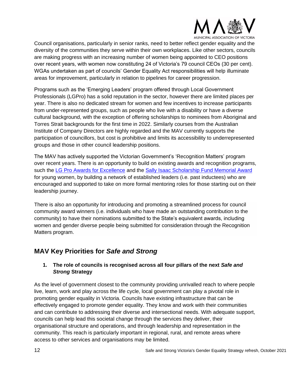

Council organisations, particularly in senior ranks, need to better reflect gender equality and the diversity of the communities they serve within their own workplaces. Like other sectors, councils are making progress with an increasing number of women being appointed to CEO positions over recent years, with women now constituting 24 of Victoria's 79 council CEOs (30 per cent). WGAs undertaken as part of councils' Gender Equality Act responsibilities will help illuminate areas for improvement, particularly in relation to pipelines for career progression.

Programs such as the 'Emerging Leaders' program offered through Local Government Professionals (LGPro) has a solid reputation in the sector, however there are limited places per year. There is also no dedicated stream for women and few incentives to increase participants from under-represented groups, such as people who live with a disability or have a diverse cultural background, with the exception of offering scholarships to nominees from Aboriginal and Torres Strait backgrounds for the first time in 2022. Similarly courses from the Australian Institute of Company Directors are highly regarded and the MAV currently supports the participation of councillors, but cost is prohibitive and limits its accessibility to underrepresented groups and those in other council leadership positions.

The MAV has actively supported the Victorian Government's 'Recognition Matters' program over recent years. There is an opportunity to build on existing awards and recognition programs, such the [LG Pro Awards for Excellence](https://www.lgpro.com/LGPro/Awards/Awards_for_Excellence.aspx) and the [Sally Isaac Scholarship Fund Memorial Award](https://www.lgpro.com/LGPro/Awards/Sally_Isaac_Award/LGPro/Awards/Sally_Isaac_Award.aspx?hkey=64449b1f-c6df-43a5-8e73-84b608d08a02) for young women, by building a network of established leaders (i.e. past inductees) who are encouraged and supported to take on more formal mentoring roles for those starting out on their leadership journey.

There is also an opportunity for introducing and promoting a streamlined process for council community award winners (i.e. individuals who have made an outstanding contribution to the community) to have their nominations submitted to the State's equivalent awards, including women and gender diverse people being submitted for consideration through the Recognition Matters program.

# <span id="page-11-0"></span>**MAV Key Priorities for** *Safe and Strong*

## <span id="page-11-1"></span>**1. The role of councils is recognised across all four pillars of the next** *Safe and Strong* **Strategy**

As the level of government closest to the community providing unrivalled reach to where people live, learn, work and play across the life cycle, local government can play a pivotal role in promoting gender equality in Victoria. Councils have existing infrastructure that can be effectively engaged to promote gender equality. They know and work with their communities and can contribute to addressing their diverse and intersectional needs. With adequate support, councils can help lead this societal change through the services they deliver, their organisational structure and operations, and through leadership and representation in the community. This reach is particularly important in regional, rural, and remote areas where access to other services and organisations may be limited.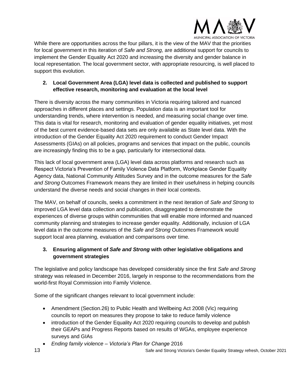

While there are opportunities across the four pillars, it is the view of the MAV that the priorities for local government in this iteration of *Safe and Strong,* are additional support for councils to implement the Gender Equality Act 2020 and increasing the diversity and gender balance in local representation. The local government sector, with appropriate resourcing, is well placed to support this evolution.

## <span id="page-12-0"></span>**2. Local Government Area (LGA) level data is collected and published to support effective research, monitoring and evaluation at the local level**

There is diversity across the many communities in Victoria requiring tailored and nuanced approaches in different places and settings. Population data is an important tool for understanding trends, where intervention is needed, and measuring social change over time. This data is vital for research, monitoring and evaluation of gender equality initiatives, yet most of the best current evidence-based data sets are only available as State level data. With the introduction of the Gender Equality Act 2020 requirement to conduct Gender Impact Assessments (GIAs) on all policies, programs and services that impact on the public, councils are increasingly finding this to be a gap, particularly for intersectional data.

This lack of local government area (LGA) level data across platforms and research such as Respect Victoria's Prevention of Family Violence Data Platform, Workplace Gender Equality Agency data, National Community Attitudes Survey and in the outcome measures for the *Safe and Strong* Outcomes Framework means they are limited in their usefulness in helping councils understand the diverse needs and social changes in their local contexts.

The MAV, on behalf of councils, seeks a commitment in the next iteration of *Safe and Strong* to improved LGA level data collection and publication, disaggregated to demonstrate the experiences of diverse groups within communities that will enable more informed and nuanced community planning and strategies to increase gender equality. Additionally, inclusion of LGA level data in the outcome measures of the *Safe and Strong* Outcomes Framework would support local area planning, evaluation and comparisons over time.

## <span id="page-12-1"></span>**3. Ensuring alignment of** *Safe and Strong* **with other legislative obligations and government strategies**

The legislative and policy landscape has developed considerably since the first *Safe and Strong*  strategy was released in December 2016, largely in response to the recommendations from the world-first Royal Commission into Family Violence.

Some of the significant changes relevant to local government include:

- Amendment (Section.26) to Public Health and Wellbeing Act 2008 (Vic) requiring councils to report on measures they propose to take to reduce family violence
- introduction of the Gender Equality Act 2020 requiring councils to develop and publish their GEAPs and Progress Reports based on results of WGAs, employee experience surveys and GIAs
- *Ending family violence – Victoria's Plan for Change* 2016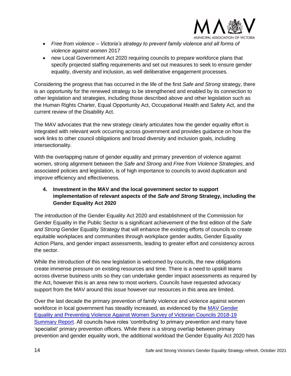

- *Free from violence – Victoria's strategy to prevent family violence and all forms of violence against women* 2017
- new Local Government Act 2020 requiring councils to prepare workforce plans that specify projected staffing requirements and set out measures to seek to ensure gender equality, diversity and inclusion, as well deliberative engagement processes.

Considering the progress that has occurred in the life of the first *Safe and Strong* strategy, there is an opportunity for the renewed strategy to be strengthened and enabled by its connection to other legislation and strategies, including those described above and other legislation such as the Human Rights Charter, Equal Opportunity Act, Occupational Health and Safety Act, and the current review of the Disability Act.

The MAV advocates that the new strategy clearly articulates how the gender equality effort is integrated with relevant work occurring across government and provides guidance on how the work links to other council obligations and broad diversity and inclusion goals, including intersectionality.

With the overlapping nature of gender equality and primary prevention of violence against women, strong alignment between the *Safe and Strong* and *Free from Violence Strategies,* and associated policies and legislation, is of high importance to councils to avoid duplication and improve efficiency and effectiveness.

## <span id="page-13-0"></span>**4. Investment in the MAV and the local government sector to support implementation of relevant aspects of the** *Safe and Strong* **Strategy, including the Gender Equality Act 2020**

The introduction of the Gender Equality Act 2020 and establishment of the Commission for Gender Equality in the Public Sector is a significant achievement of the first edition of the *Safe and Strong* Gender Equality Strategy that will enhance the existing efforts of councils to create equitable workplaces and communities through workplace gender audits, Gender Equality Action Plans, and gender impact assessments, leading to greater effort and consistency across the sector.

While the introduction of this new legislation is welcomed by councils, the new obligations create immense pressure on existing resources and time. There is a need to upskill teams across diverse business units so they can undertake gender impact assessments as required by the Act, however this is an area new to most workers. Councils have requested advocacy support from the MAV around this issue however our resources in this area are limited.

Over the last decade the primary prevention of family violence and violence against women workforce in local government has steadily increased, as evidenced by the MAV [Gender](https://www.mav.asn.au/__data/assets/pdf_file/0018/26262/MAV-GEPVAW-Survey-2018-19-Summary-Report.pdf)  [Equality and Preventing Violence Against Women Survey](https://www.mav.asn.au/__data/assets/pdf_file/0018/26262/MAV-GEPVAW-Survey-2018-19-Summary-Report.pdf) of Victorian Councils 2018-19 [Summary Report.](https://www.mav.asn.au/__data/assets/pdf_file/0018/26262/MAV-GEPVAW-Survey-2018-19-Summary-Report.pdf) All councils have roles 'contributing' to primary prevention and many have 'specialist' primary prevention officers. While there is a strong overlap between primary prevention and gender equality work, the additional workload the Gender Equality Act 2020 has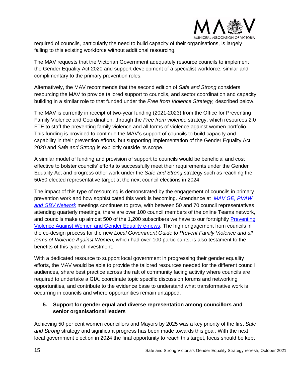

required of councils, particularly the need to build capacity of their organisations, is largely falling to this existing workforce without additional resourcing.

The MAV requests that the Victorian Government adequately resource councils to implement the Gender Equality Act 2020 and support development of a specialist workforce, similar and complimentary to the primary prevention roles.

Alternatively, the MAV recommends that the second edition of *Safe and Strong* considers resourcing the MAV to provide tailored support to councils, and sector coordination and capacity building in a similar role to that funded under the *Free from Violence Strategy,* described below.

The MAV is currently in receipt of two-year funding (2021-2023) from the Office for Preventing Family Violence and Coordination, through the *Free from violence* strategy, which resources 2.0 FTE to staff the preventing family violence and all forms of violence against women portfolio. This funding is provided to continue the MAV's support of councils to build capacity and capability in their prevention efforts, but supporting implementation of the Gender Equality Act 2020 and *Safe and Strong* is explicitly outside its scope.

A similar model of funding and provision of support to councils would be beneficial and cost effective to bolster councils' efforts to successfully meet their requirements under the Gender Equality Act and progress other work under the *Safe and Strong* strategy such as reaching the 50/50 elected representative target at the next council elections in 2024.

The impact of this type of resourcing is demonstrated by the engagement of councils in primary prevention work and how sophisticated this work is becoming. Attendance at *[MAV GE, PVAW](https://www.mav.asn.au/what-we-do/policy-advocacy/social-community/gender-equality/pvaw-network)  [and GBV](https://www.mav.asn.au/what-we-do/policy-advocacy/social-community/gender-equality/pvaw-network) Network* meetings continues to grow, with between 50 and 70 council representatives attending quarterly meetings, there are over 100 council members of the online Teams network, and councils make up almost 500 of the 1,200 subscribers we have to our fortnightly [Preventing](https://www.mav.asn.au/what-we-do/policy-advocacy/social-community/gender-equality/e-news-updates-pvaw-and-gender-equality)  [Violence Against Women and Gender Equality e-news.](https://www.mav.asn.au/what-we-do/policy-advocacy/social-community/gender-equality/e-news-updates-pvaw-and-gender-equality) The high engagement from councils in the co-design process for the new *Local Government Guide to Prevent Family Violence and all forms of Violence Against Women,* which had over 100 participants, is also testament to the benefits of this type of investment.

With a dedicated resource to support local government in progressing their gender equality efforts, the MAV would be able to provide the tailored resources needed for the different council audiences, share best practice across the raft of community facing activity where councils are required to undertake a GIA*,* coordinate topic specific discussion forums and networking opportunities, and contribute to the evidence base to understand what transformative work is occurring in councils and where opportunities remain untapped.

## <span id="page-14-0"></span>**5. Support for gender equal and diverse representation among councillors and senior organisational leaders**

Achieving 50 per cent women councillors and Mayors by 2025 was a key priority of the first *Safe and Strong* strategy and significant progress has been made towards this goal. With the next local government election in 2024 the final opportunity to reach this target, focus should be kept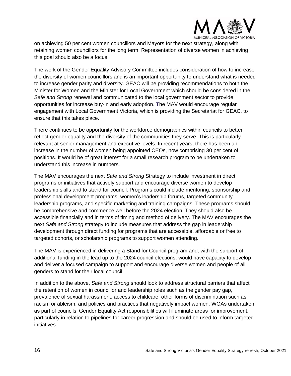

on achieving 50 per cent women councillors and Mayors for the next strategy, along with retaining women councillors for the long term. Representation of diverse women in achieving this goal should also be a focus.

The work of the Gender Equality Advisory Committee includes consideration of how to increase the diversity of women councillors and is an important opportunity to understand what is needed to increase gender parity and diversity. GEAC will be providing recommendations to both the Minister for Women and the Minister for Local Government which should be considered in the *Safe and Strong* renewal and communicated to the local government sector to provide opportunities for increase buy-in and early adoption. The MAV would encourage regular engagement with Local Government Victoria, which is providing the Secretariat for GEAC, to ensure that this takes place.

There continues to be opportunity for the workforce demographics within councils to better reflect gender equality and the diversity of the communities they serve. This is particularly relevant at senior management and executive levels. In recent years, there has been an increase in the number of women being appointed CEOs, now comprising 30 per cent of positions. It would be of great interest for a small research program to be undertaken to understand this increase in numbers.

The MAV encourages the next *Safe and Strong* Strategy to include investment in direct programs or initiatives that actively support and encourage diverse women to develop leadership skills and to stand for council. Programs could include mentoring, sponsorship and professional development programs, women's leadership forums, targeted community leadership programs, and specific marketing and training campaigns. These programs should be comprehensive and commence well before the 2024 election. They should also be accessible financially and in terms of timing and method of delivery. The MAV encourages the next *Safe and Strong* strategy to include measures that address the gap in leadership development through direct funding for programs that are accessible, affordable or free to targeted cohorts, or scholarship programs to support women attending.

The MAV is experienced in delivering a Stand for Council program and, with the support of additional funding in the lead up to the 2024 council elections, would have capacity to develop and deliver a focused campaign to support and encourage diverse women and people of all genders to stand for their local council.

In addition to the above, *Safe and Strong* should look to address structural barriers that affect the retention of women in councillor and leadership roles such as the gender pay gap, prevalence of sexual harassment, access to childcare, other forms of discrimination such as racism or ableism, and policies and practices that negatively impact women. WGAs undertaken as part of councils' Gender Equality Act responsibilities will illuminate areas for improvement, particularly in relation to pipelines for career progression and should be used to inform targeted initiatives.